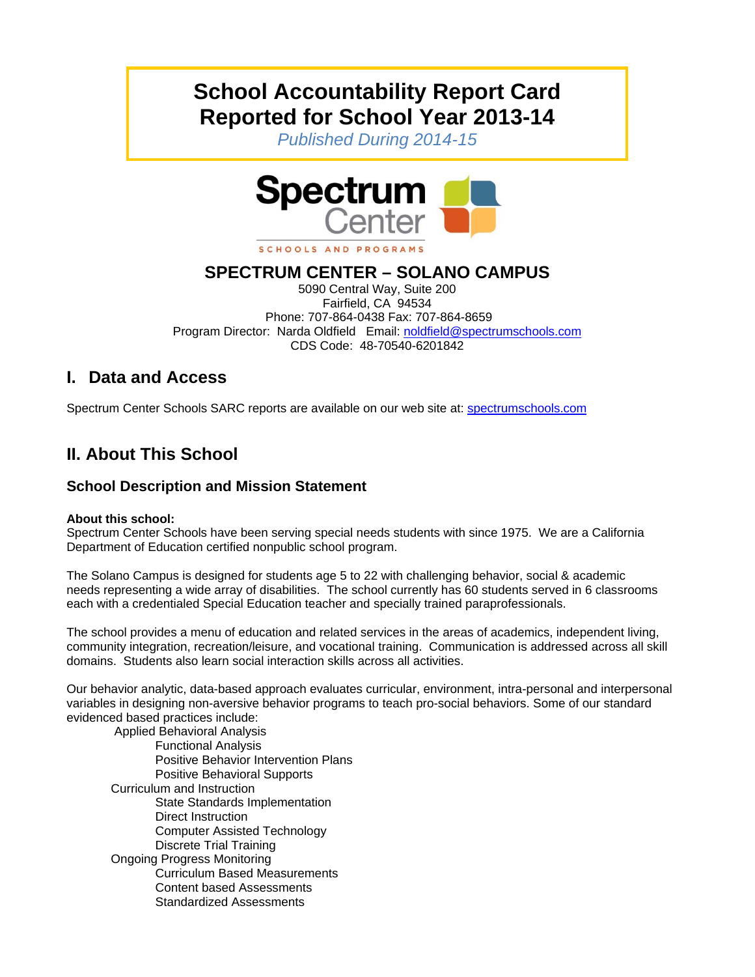# **School Accountability Report Card Reported for School Year 2013-14**

*Published During 2014-15* 



SCHOOLS AND PROGRAMS

# **SPECTRUM CENTER – SOLANO CAMPUS**

5090 Central Way, Suite 200 Fairfield, CA 94534 Phone: 707-864-0438 Fax: 707-864-8659 Program Director: Narda Oldfield Email: noldfield@spectrumschools.com CDS Code: 48-70540-6201842

# **I. Data and Access**

Spectrum Center Schools SARC reports are available on our web site at: spectrumschools.com

# **II. About This School**

# **School Description and Mission Statement**

#### **About this school:**

Spectrum Center Schools have been serving special needs students with since 1975. We are a California Department of Education certified nonpublic school program.

The Solano Campus is designed for students age 5 to 22 with challenging behavior, social & academic needs representing a wide array of disabilities. The school currently has 60 students served in 6 classrooms each with a credentialed Special Education teacher and specially trained paraprofessionals.

The school provides a menu of education and related services in the areas of academics, independent living, community integration, recreation/leisure, and vocational training. Communication is addressed across all skill domains. Students also learn social interaction skills across all activities.

Our behavior analytic, data-based approach evaluates curricular, environment, intra-personal and interpersonal variables in designing non-aversive behavior programs to teach pro-social behaviors. Some of our standard evidenced based practices include:

 Applied Behavioral Analysis Functional Analysis Positive Behavior Intervention Plans Positive Behavioral Supports Curriculum and Instruction State Standards Implementation Direct Instruction Computer Assisted Technology Discrete Trial Training Ongoing Progress Monitoring Curriculum Based Measurements Content based Assessments Standardized Assessments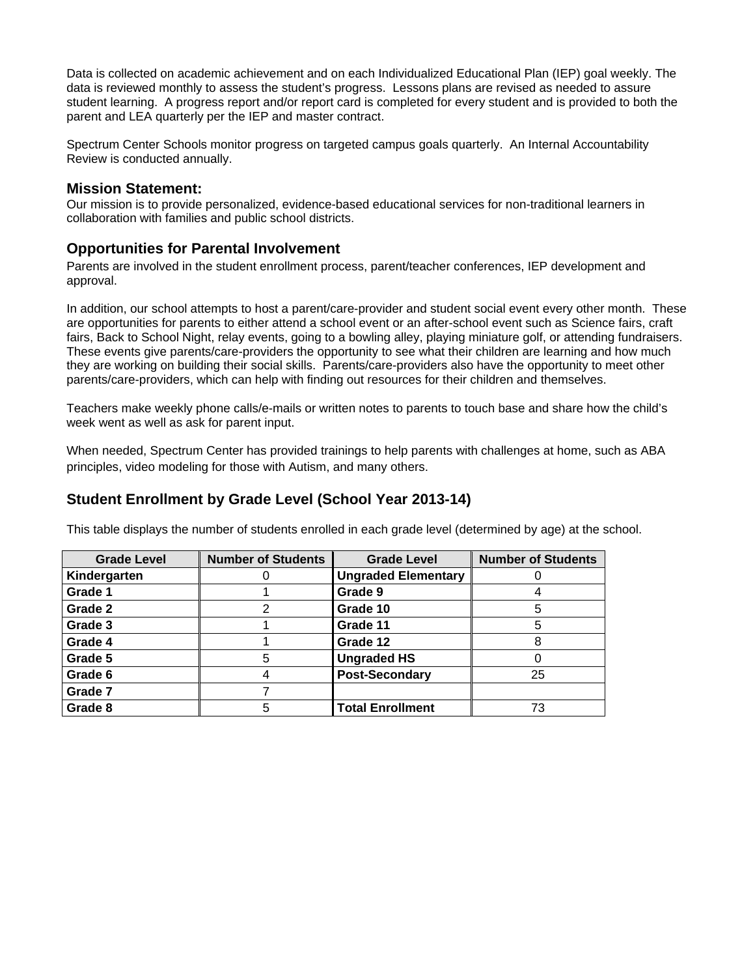Data is collected on academic achievement and on each Individualized Educational Plan (IEP) goal weekly. The data is reviewed monthly to assess the student's progress. Lessons plans are revised as needed to assure student learning. A progress report and/or report card is completed for every student and is provided to both the parent and LEA quarterly per the IEP and master contract.

Spectrum Center Schools monitor progress on targeted campus goals quarterly. An Internal Accountability Review is conducted annually.

**Mission Statement:**<br>Our mission is to provide personalized, evidence-based educational services for non-traditional learners in collaboration with families and public school districts.

### **Opportunities for Parental Involvement**

Parents are involved in the student enrollment process, parent/teacher conferences, IEP development and approval.

In addition, our school attempts to host a parent/care-provider and student social event every other month. These are opportunities for parents to either attend a school event or an after-school event such as Science fairs, craft fairs, Back to School Night, relay events, going to a bowling alley, playing miniature golf, or attending fundraisers. These events give parents/care-providers the opportunity to see what their children are learning and how much they are working on building their social skills. Parents/care-providers also have the opportunity to meet other parents/care-providers, which can help with finding out resources for their children and themselves.

Teachers make weekly phone calls/e-mails or written notes to parents to touch base and share how the child's week went as well as ask for parent input.

When needed, Spectrum Center has provided trainings to help parents with challenges at home, such as ABA principles, video modeling for those with Autism, and many others.

#### **Student Enrollment by Grade Level (School Year 2013-14)**

This table displays the number of students enrolled in each grade level (determined by age) at the school.

| <b>Grade Level</b> | <b>Number of Students</b> | <b>Grade Level</b>         | <b>Number of Students</b> |
|--------------------|---------------------------|----------------------------|---------------------------|
| Kindergarten       |                           | <b>Ungraded Elementary</b> |                           |
| Grade 1            |                           | Grade 9                    |                           |
| Grade 2            | 2                         | Grade 10                   |                           |
| Grade 3            |                           | Grade 11                   | 5                         |
| Grade 4            |                           | Grade 12                   |                           |
| Grade 5            | 5                         | <b>Ungraded HS</b>         |                           |
| Grade 6            |                           | <b>Post-Secondary</b>      | 25                        |
| Grade 7            |                           |                            |                           |
| Grade 8            | 5                         | <b>Total Enrollment</b>    | 73                        |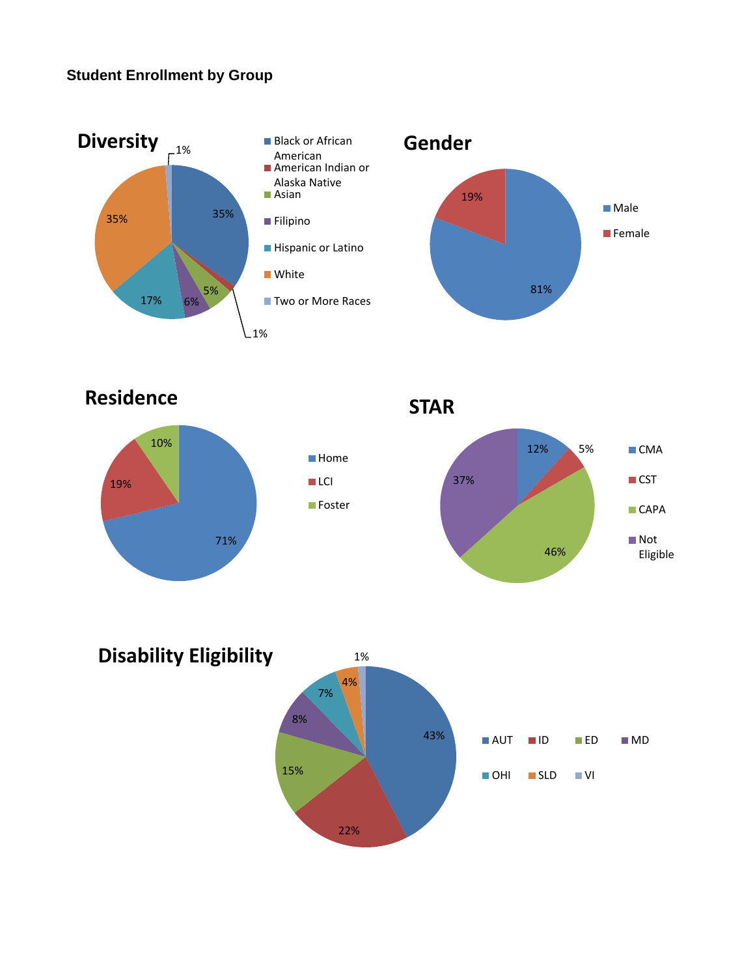# **Student Enrollment by Group**





**STAR**



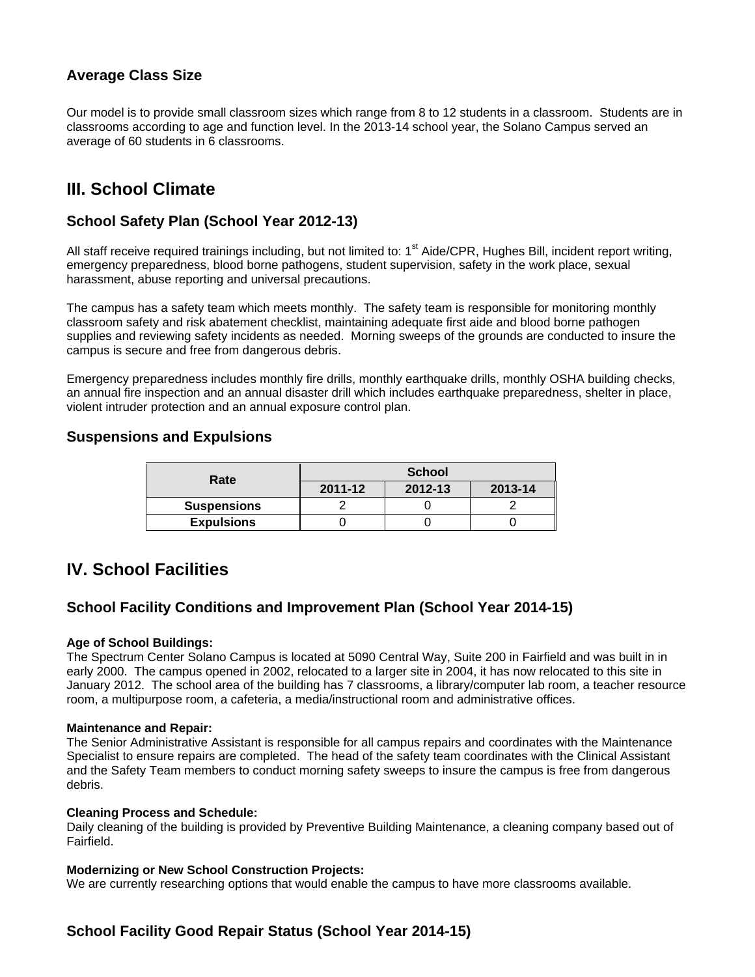# **Average Class Size**

Our model is to provide small classroom sizes which range from 8 to 12 students in a classroom. Students are in classrooms according to age and function level. In the 2013-14 school year, the Solano Campus served an average of 60 students in 6 classrooms.

# **III. School Climate**

## **School Safety Plan (School Year 2012-13)**

All staff receive required trainings including, but not limited to: 1<sup>st</sup> Aide/CPR, Hughes Bill, incident report writing, emergency preparedness, blood borne pathogens, student supervision, safety in the work place, sexual harassment, abuse reporting and universal precautions.

The campus has a safety team which meets monthly. The safety team is responsible for monitoring monthly classroom safety and risk abatement checklist, maintaining adequate first aide and blood borne pathogen supplies and reviewing safety incidents as needed. Morning sweeps of the grounds are conducted to insure the campus is secure and free from dangerous debris.

Emergency preparedness includes monthly fire drills, monthly earthquake drills, monthly OSHA building checks, an annual fire inspection and an annual disaster drill which includes earthquake preparedness, shelter in place, violent intruder protection and an annual exposure control plan.

### **Suspensions and Expulsions**

| Rate               | <b>School</b> |         |         |  |  |
|--------------------|---------------|---------|---------|--|--|
|                    | 2011-12       | 2012-13 | 2013-14 |  |  |
| <b>Suspensions</b> |               |         |         |  |  |
| <b>Expulsions</b>  |               |         |         |  |  |

# **IV. School Facilities**

#### **School Facility Conditions and Improvement Plan (School Year 2014-15)**

#### **Age of School Buildings:**

The Spectrum Center Solano Campus is located at 5090 Central Way, Suite 200 in Fairfield and was built in in early 2000. The campus opened in 2002, relocated to a larger site in 2004, it has now relocated to this site in January 2012. The school area of the building has 7 classrooms, a library/computer lab room, a teacher resource room, a multipurpose room, a cafeteria, a media/instructional room and administrative offices.

#### **Maintenance and Repair:**

The Senior Administrative Assistant is responsible for all campus repairs and coordinates with the Maintenance Specialist to ensure repairs are completed. The head of the safety team coordinates with the Clinical Assistant and the Safety Team members to conduct morning safety sweeps to insure the campus is free from dangerous debris.

#### **Cleaning Process and Schedule:**

Daily cleaning of the building is provided by Preventive Building Maintenance, a cleaning company based out of Fairfield.

#### **Modernizing or New School Construction Projects:**

We are currently researching options that would enable the campus to have more classrooms available.

## **School Facility Good Repair Status (School Year 2014-15)**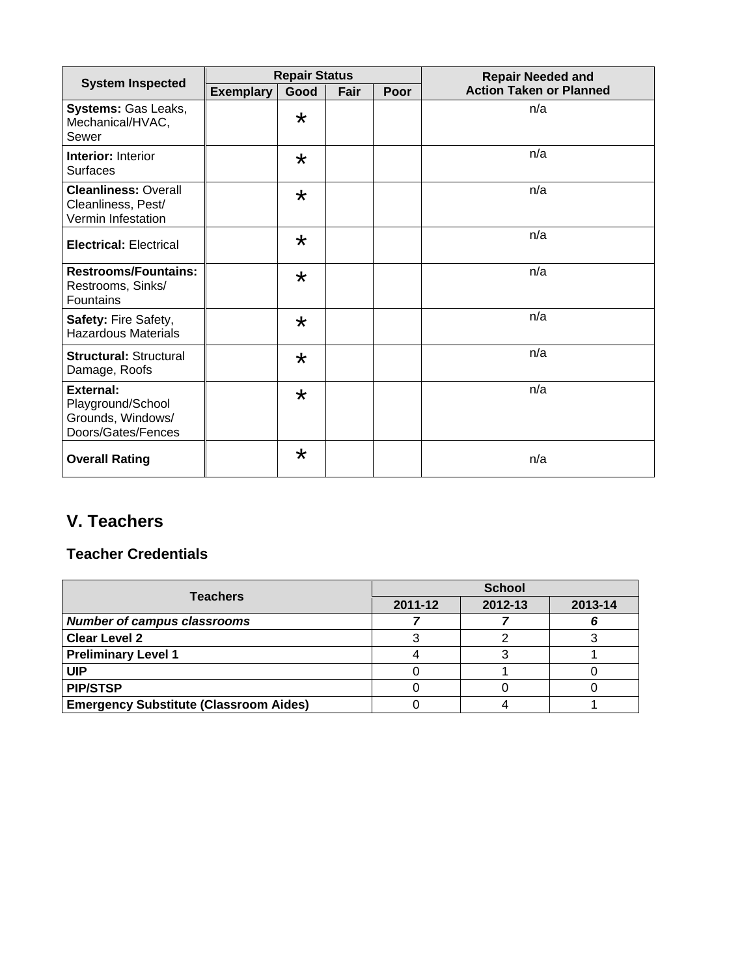| <b>System Inspected</b>                                                   | <b>Repair Status</b> |         |      |      | <b>Repair Needed and</b>       |  |
|---------------------------------------------------------------------------|----------------------|---------|------|------|--------------------------------|--|
|                                                                           | <b>Exemplary</b>     | Good    | Fair | Poor | <b>Action Taken or Planned</b> |  |
| Systems: Gas Leaks,<br>Mechanical/HVAC,<br>Sewer                          |                      | $\star$ |      |      | n/a                            |  |
| <b>Interior: Interior</b><br><b>Surfaces</b>                              |                      | $\star$ |      |      | n/a                            |  |
| <b>Cleanliness: Overall</b><br>Cleanliness, Pest/<br>Vermin Infestation   |                      | $\star$ |      |      | n/a                            |  |
| <b>Electrical: Electrical</b>                                             |                      | $\star$ |      |      | n/a                            |  |
| <b>Restrooms/Fountains:</b><br>Restrooms, Sinks/<br><b>Fountains</b>      |                      | $\star$ |      |      | n/a                            |  |
| Safety: Fire Safety,<br><b>Hazardous Materials</b>                        |                      | $\star$ |      |      | n/a                            |  |
| <b>Structural: Structural</b><br>Damage, Roofs                            |                      | $\star$ |      |      | n/a                            |  |
| External:<br>Playground/School<br>Grounds, Windows/<br>Doors/Gates/Fences |                      | $\star$ |      |      | n/a                            |  |
| <b>Overall Rating</b>                                                     |                      | $\star$ |      |      | n/a                            |  |

# **V. Teachers**

# **Teacher Credentials**

| <b>Teachers</b>                               | <b>School</b> |         |         |  |
|-----------------------------------------------|---------------|---------|---------|--|
|                                               | 2011-12       | 2012-13 | 2013-14 |  |
| <b>Number of campus classrooms</b>            |               |         |         |  |
| <b>Clear Level 2</b>                          |               |         |         |  |
| <b>Preliminary Level 1</b>                    |               |         |         |  |
| UIP                                           |               |         |         |  |
| <b>PIP/STSP</b>                               |               |         |         |  |
| <b>Emergency Substitute (Classroom Aides)</b> |               |         |         |  |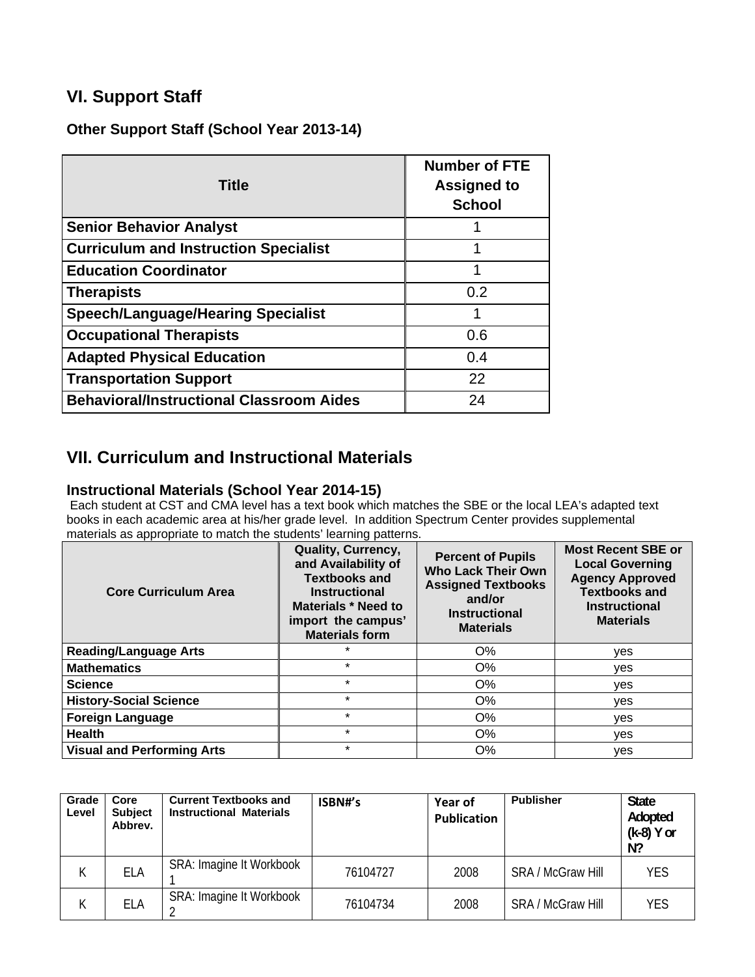# **VI. Support Staff**

**Other Support Staff (School Year 2013-14)** 

| <b>Title</b>                                    | <b>Number of FTE</b><br><b>Assigned to</b><br><b>School</b> |
|-------------------------------------------------|-------------------------------------------------------------|
| <b>Senior Behavior Analyst</b>                  |                                                             |
| <b>Curriculum and Instruction Specialist</b>    | 1                                                           |
| <b>Education Coordinator</b>                    |                                                             |
| <b>Therapists</b>                               | 0.2                                                         |
| <b>Speech/Language/Hearing Specialist</b>       | 1                                                           |
| <b>Occupational Therapists</b>                  | 0.6                                                         |
| <b>Adapted Physical Education</b>               | 0.4                                                         |
| <b>Transportation Support</b>                   | 22                                                          |
| <b>Behavioral/Instructional Classroom Aides</b> | 24                                                          |

# **VII. Curriculum and Instructional Materials**

#### **Instructional Materials (School Year 2014-15)**

 Each student at CST and CMA level has a text book which matches the SBE or the local LEA's adapted text books in each academic area at his/her grade level. In addition Spectrum Center provides supplemental materials as appropriate to match the students' learning patterns.

| <b>Core Curriculum Area</b>       | Quality, Currency,<br>and Availability of<br><b>Textbooks and</b><br><b>Instructional</b><br>Materials * Need to<br>import the campus'<br><b>Materials form</b> | <b>Percent of Pupils</b><br><b>Who Lack Their Own</b><br><b>Assigned Textbooks</b><br>and/or<br><b>Instructional</b><br><b>Materials</b> | <b>Most Recent SBE or</b><br><b>Local Governing</b><br><b>Agency Approved</b><br><b>Textbooks and</b><br><b>Instructional</b><br><b>Materials</b> |
|-----------------------------------|-----------------------------------------------------------------------------------------------------------------------------------------------------------------|------------------------------------------------------------------------------------------------------------------------------------------|---------------------------------------------------------------------------------------------------------------------------------------------------|
| <b>Reading/Language Arts</b>      | $\star$                                                                                                                                                         | O%                                                                                                                                       | ves                                                                                                                                               |
| <b>Mathematics</b>                | $\star$                                                                                                                                                         | $O\%$                                                                                                                                    | yes                                                                                                                                               |
| <b>Science</b>                    | $\star$                                                                                                                                                         | $O\%$                                                                                                                                    | yes                                                                                                                                               |
| <b>History-Social Science</b>     | $\star$                                                                                                                                                         | O%                                                                                                                                       | yes                                                                                                                                               |
| <b>Foreign Language</b>           | $\star$                                                                                                                                                         | O%                                                                                                                                       | ves                                                                                                                                               |
| <b>Health</b>                     | $\star$                                                                                                                                                         | $O\%$                                                                                                                                    | ves                                                                                                                                               |
| <b>Visual and Performing Arts</b> | $\star$                                                                                                                                                         | $O\%$                                                                                                                                    | ves                                                                                                                                               |

| Grade<br>Level | Core<br><b>Subject</b><br>Abbrey. | <b>Current Textbooks and</b><br><b>Instructional Materials</b> | ISBN#'s  | Year of<br><b>Publication</b> | <b>Publisher</b>         | <b>State</b><br>Adopted<br>(k-8) Y or<br>$N$ ? |
|----------------|-----------------------------------|----------------------------------------------------------------|----------|-------------------------------|--------------------------|------------------------------------------------|
| K              | <b>ELA</b>                        | SRA: Imagine It Workbook                                       | 76104727 | 2008                          | <b>SRA / McGraw Hill</b> | <b>YES</b>                                     |
| K              | <b>ELA</b>                        | SRA: Imagine It Workbook                                       | 76104734 | 2008                          | <b>SRA / McGraw Hill</b> | <b>YES</b>                                     |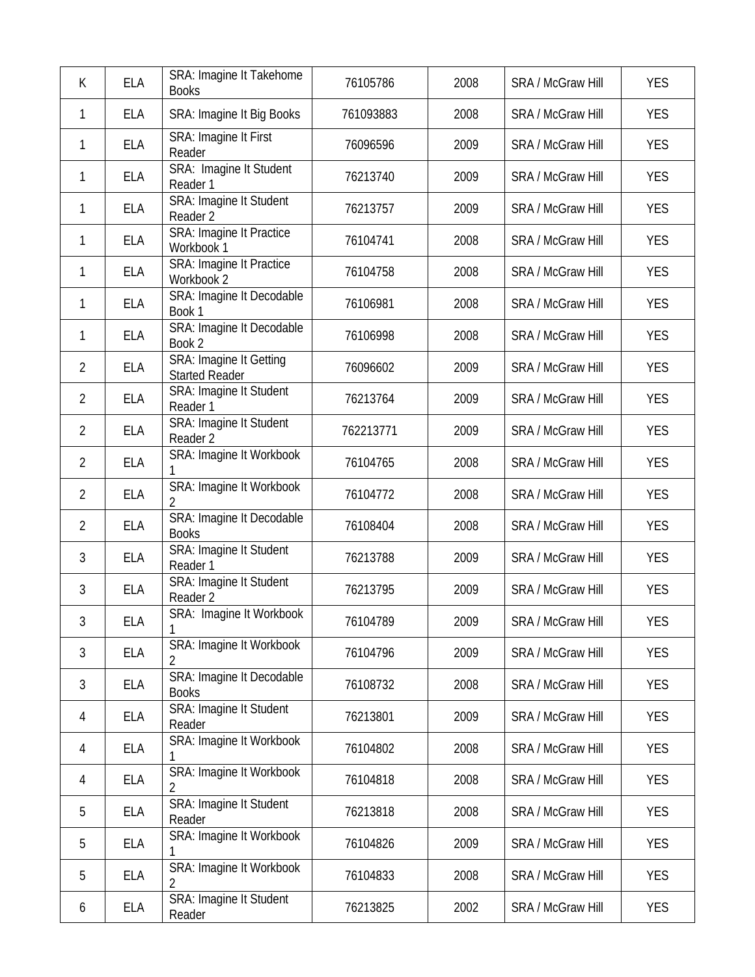| К              | <b>ELA</b> | SRA: Imagine It Takehome<br><b>Books</b>         | 76105786  | 2008 | <b>SRA / McGraw Hill</b> | <b>YES</b> |
|----------------|------------|--------------------------------------------------|-----------|------|--------------------------|------------|
| 1              | <b>ELA</b> | SRA: Imagine It Big Books                        | 761093883 | 2008 | <b>SRA / McGraw Hill</b> | <b>YES</b> |
| 1              | <b>ELA</b> | SRA: Imagine It First<br>Reader                  | 76096596  | 2009 | <b>SRA / McGraw Hill</b> | <b>YES</b> |
| 1              | <b>ELA</b> | SRA: Imagine It Student<br>Reader 1              | 76213740  | 2009 | SRA / McGraw Hill        | <b>YES</b> |
| 1              | <b>ELA</b> | SRA: Imagine It Student<br>Reader 2              | 76213757  | 2009 | SRA / McGraw Hill        | <b>YES</b> |
| 1              | <b>ELA</b> | <b>SRA: Imagine It Practice</b><br>Workbook 1    | 76104741  | 2008 | SRA / McGraw Hill        | <b>YES</b> |
| 1              | <b>ELA</b> | SRA: Imagine It Practice<br>Workbook 2           | 76104758  | 2008 | SRA / McGraw Hill        | <b>YES</b> |
| 1              | <b>ELA</b> | SRA: Imagine It Decodable<br>Book 1              | 76106981  | 2008 | SRA / McGraw Hill        | <b>YES</b> |
| 1              | <b>ELA</b> | SRA: Imagine It Decodable<br>Book 2              | 76106998  | 2008 | SRA / McGraw Hill        | <b>YES</b> |
| $\overline{2}$ | <b>ELA</b> | SRA: Imagine It Getting<br><b>Started Reader</b> | 76096602  | 2009 | SRA / McGraw Hill        | <b>YES</b> |
| $\overline{2}$ | <b>ELA</b> | SRA: Imagine It Student<br>Reader 1              | 76213764  | 2009 | SRA / McGraw Hill        | <b>YES</b> |
| 2              | <b>ELA</b> | SRA: Imagine It Student<br>Reader 2              | 762213771 | 2009 | SRA / McGraw Hill        | <b>YES</b> |
| 2              | <b>ELA</b> | SRA: Imagine It Workbook                         | 76104765  | 2008 | SRA / McGraw Hill        | <b>YES</b> |
| 2              | <b>ELA</b> | SRA: Imagine It Workbook<br>2                    | 76104772  | 2008 | SRA / McGraw Hill        | <b>YES</b> |
| 2              | <b>ELA</b> | SRA: Imagine It Decodable<br><b>Books</b>        | 76108404  | 2008 | <b>SRA / McGraw Hill</b> | <b>YES</b> |
| 3              | <b>ELA</b> | SRA: Imagine It Student<br>Reader 1              | 76213788  | 2009 | SRA / McGraw Hill        | <b>YES</b> |
| 3              | <b>ELA</b> | SRA: Imagine It Student<br>Reader 2              | 76213795  | 2009 | SRA / McGraw Hill        | <b>YES</b> |
| 3              | <b>ELA</b> | SRA: Imagine It Workbook                         | 76104789  | 2009 | SRA / McGraw Hill        | <b>YES</b> |
| 3              | <b>ELA</b> | SRA: Imagine It Workbook<br>2                    | 76104796  | 2009 | SRA / McGraw Hill        | <b>YES</b> |
| $\mathfrak{Z}$ | <b>ELA</b> | SRA: Imagine It Decodable<br><b>Books</b>        | 76108732  | 2008 | SRA / McGraw Hill        | <b>YES</b> |
| 4              | <b>ELA</b> | SRA: Imagine It Student<br>Reader                | 76213801  | 2009 | SRA / McGraw Hill        | <b>YES</b> |
| 4              | ELA        | SRA: Imagine It Workbook                         | 76104802  | 2008 | SRA / McGraw Hill        | <b>YES</b> |
| 4              | <b>ELA</b> | SRA: Imagine It Workbook<br>2                    | 76104818  | 2008 | SRA / McGraw Hill        | <b>YES</b> |
| 5              | ELA        | SRA: Imagine It Student<br>Reader                | 76213818  | 2008 | SRA / McGraw Hill        | <b>YES</b> |
| 5              | <b>ELA</b> | SRA: Imagine It Workbook                         | 76104826  | 2009 | SRA / McGraw Hill        | <b>YES</b> |
| 5              | <b>ELA</b> | SRA: Imagine It Workbook<br>2                    | 76104833  | 2008 | SRA / McGraw Hill        | <b>YES</b> |
| 6              | ELA        | SRA: Imagine It Student<br>Reader                | 76213825  | 2002 | SRA / McGraw Hill        | <b>YES</b> |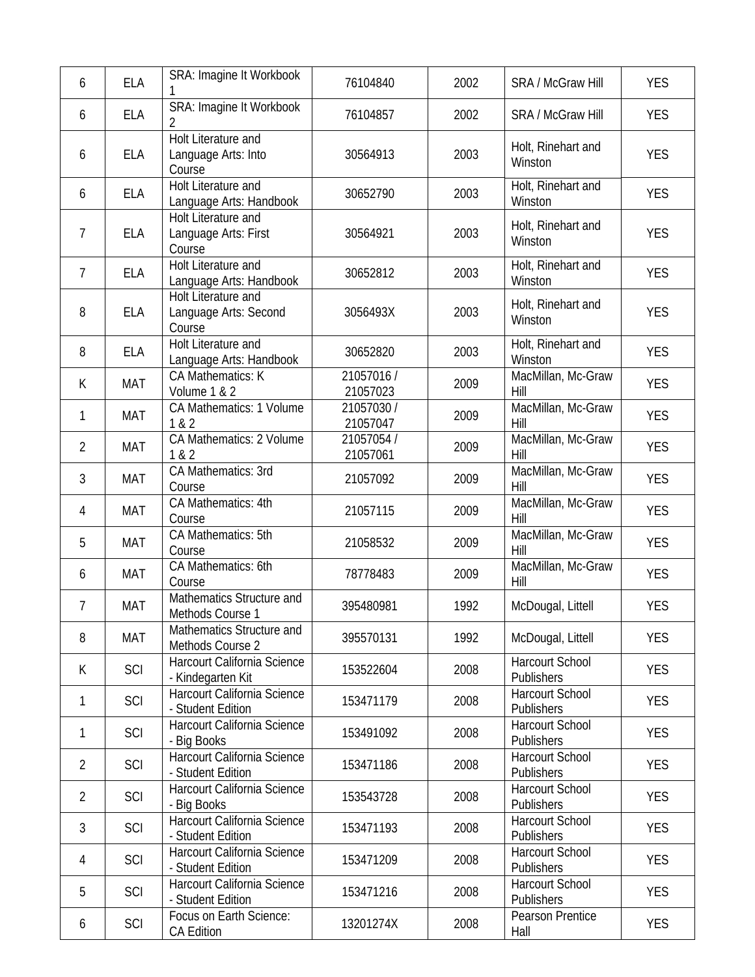| 6              | <b>ELA</b> | SRA: Imagine It Workbook                               | 76104840               | 2002 | <b>SRA / McGraw Hill</b>             | <b>YES</b> |
|----------------|------------|--------------------------------------------------------|------------------------|------|--------------------------------------|------------|
| 6              | <b>ELA</b> | SRA: Imagine It Workbook                               | 76104857               | 2002 | SRA / McGraw Hill                    | <b>YES</b> |
| 6              | <b>ELA</b> | Holt Literature and<br>Language Arts: Into<br>Course   | 30564913               | 2003 | Holt, Rinehart and<br>Winston        | <b>YES</b> |
| 6              | <b>ELA</b> | Holt Literature and<br>Language Arts: Handbook         | 30652790               | 2003 | Holt, Rinehart and<br>Winston        | <b>YES</b> |
| 7              | <b>ELA</b> | Holt Literature and<br>Language Arts: First<br>Course  | 30564921               | 2003 | Holt, Rinehart and<br>Winston        | <b>YES</b> |
| $\overline{7}$ | <b>ELA</b> | Holt Literature and<br>Language Arts: Handbook         | 30652812               | 2003 | Holt, Rinehart and<br>Winston        | <b>YES</b> |
| 8              | <b>ELA</b> | Holt Literature and<br>Language Arts: Second<br>Course | 3056493X               | 2003 | Holt, Rinehart and<br>Winston        | <b>YES</b> |
| 8              | <b>ELA</b> | Holt Literature and<br>Language Arts: Handbook         | 30652820               | 2003 | Holt, Rinehart and<br>Winston        | <b>YES</b> |
| K              | <b>MAT</b> | <b>CA Mathematics: K</b><br>Volume 1 & 2               | 21057016 /<br>21057023 | 2009 | MacMillan, Mc-Graw<br>Hill           | <b>YES</b> |
| 1              | <b>MAT</b> | CA Mathematics: 1 Volume<br>1 & 2                      | 21057030 /<br>21057047 | 2009 | MacMillan, Mc-Graw<br>Hill           | <b>YES</b> |
| 2              | <b>MAT</b> | <b>CA Mathematics: 2 Volume</b><br>1 & 2               | 21057054 /<br>21057061 | 2009 | MacMillan, Mc-Graw<br>Hill           | <b>YES</b> |
| 3              | <b>MAT</b> | CA Mathematics: 3rd<br>Course                          | 21057092               | 2009 | MacMillan, Mc-Graw<br>Hill           | <b>YES</b> |
| 4              | <b>MAT</b> | CA Mathematics: 4th<br>Course                          | 21057115               | 2009 | MacMillan, Mc-Graw<br>Hill           | <b>YES</b> |
| 5              | <b>MAT</b> | <b>CA Mathematics: 5th</b><br>Course                   | 21058532               | 2009 | MacMillan, Mc-Graw<br>Hill           | <b>YES</b> |
| 6              | <b>MAT</b> | CA Mathematics: 6th<br>Course                          | 78778483               | 2009 | MacMillan, Mc-Graw<br>Hill           | <b>YES</b> |
| $\overline{7}$ | <b>MAT</b> | Mathematics Structure and<br>Methods Course 1          | 395480981              | 1992 | McDougal, Littell                    | <b>YES</b> |
| 8              | <b>MAT</b> | Mathematics Structure and<br>Methods Course 2          | 395570131              | 1992 | McDougal, Littell                    | <b>YES</b> |
| K              | SCI        | Harcourt California Science<br>- Kindegarten Kit       | 153522604              | 2008 | <b>Harcourt School</b><br>Publishers | <b>YES</b> |
| 1              | SCI        | Harcourt California Science<br>- Student Edition       | 153471179              | 2008 | <b>Harcourt School</b><br>Publishers | <b>YES</b> |
| 1              | SCI        | Harcourt California Science<br>- Big Books             | 153491092              | 2008 | Harcourt School<br>Publishers        | <b>YES</b> |
| $\overline{2}$ | SCI        | Harcourt California Science<br>- Student Edition       | 153471186              | 2008 | Harcourt School<br>Publishers        | <b>YES</b> |
| $\overline{2}$ | SCI        | Harcourt California Science<br>- Big Books             | 153543728              | 2008 | Harcourt School<br>Publishers        | <b>YES</b> |
| 3              | SCI        | Harcourt California Science<br>- Student Edition       | 153471193              | 2008 | Harcourt School<br>Publishers        | <b>YES</b> |
| 4              | SCI        | Harcourt California Science<br>- Student Edition       | 153471209              | 2008 | Harcourt School<br>Publishers        | <b>YES</b> |
| 5              | SCI        | Harcourt California Science<br>- Student Edition       | 153471216              | 2008 | Harcourt School<br>Publishers        | <b>YES</b> |
| 6              | SCI        | Focus on Earth Science:<br><b>CA Edition</b>           | 13201274X              | 2008 | Pearson Prentice<br>Hall             | <b>YES</b> |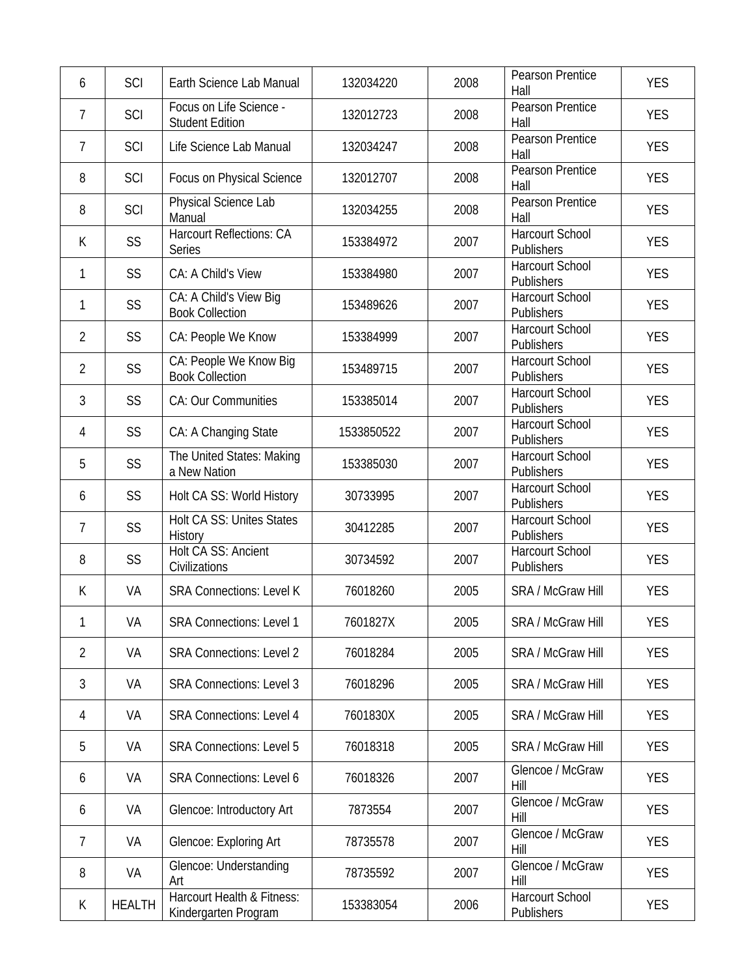| 6              | SCI           | Earth Science Lab Manual                           | 132034220  | 2008 | Pearson Prentice<br>Hall             | <b>YES</b> |
|----------------|---------------|----------------------------------------------------|------------|------|--------------------------------------|------------|
| 7              | SCI           | Focus on Life Science -<br><b>Student Edition</b>  | 132012723  | 2008 | Pearson Prentice<br>Hall             | <b>YES</b> |
| 7              | SCI           | Life Science Lab Manual                            | 132034247  | 2008 | Pearson Prentice<br>Hall             | <b>YES</b> |
| 8              | SCI           | Focus on Physical Science                          | 132012707  | 2008 | Pearson Prentice<br>Hall             | <b>YES</b> |
| 8              | SCI           | Physical Science Lab<br>Manual                     | 132034255  | 2008 | <b>Pearson Prentice</b><br>Hall      | <b>YES</b> |
| K              | SS            | <b>Harcourt Reflections: CA</b><br>Series          | 153384972  | 2007 | <b>Harcourt School</b><br>Publishers | <b>YES</b> |
| 1              | SS            | CA: A Child's View                                 | 153384980  | 2007 | Harcourt School<br>Publishers        | <b>YES</b> |
| 1              | SS            | CA: A Child's View Big<br><b>Book Collection</b>   | 153489626  | 2007 | Harcourt School<br>Publishers        | <b>YES</b> |
| $\overline{2}$ | SS            | CA: People We Know                                 | 153384999  | 2007 | Harcourt School<br>Publishers        | <b>YES</b> |
| $\overline{2}$ | SS            | CA: People We Know Big<br><b>Book Collection</b>   | 153489715  | 2007 | Harcourt School<br>Publishers        | <b>YES</b> |
| 3              | SS            | CA: Our Communities                                | 153385014  | 2007 | Harcourt School<br>Publishers        | <b>YES</b> |
| 4              | SS            | CA: A Changing State                               | 1533850522 | 2007 | <b>Harcourt School</b><br>Publishers | <b>YES</b> |
| 5              | SS            | The United States: Making<br>a New Nation          | 153385030  | 2007 | Harcourt School<br>Publishers        | <b>YES</b> |
| 6              | SS            | Holt CA SS: World History                          | 30733995   | 2007 | Harcourt School<br>Publishers        | <b>YES</b> |
| 7              | SS            | Holt CA SS: Unites States<br>History               | 30412285   | 2007 | Harcourt School<br>Publishers        | <b>YES</b> |
| 8              | SS            | Holt CA SS: Ancient<br>Civilizations               | 30734592   | 2007 | Harcourt School<br>Publishers        | <b>YES</b> |
| K              | VA            | <b>SRA Connections: Level K</b>                    | 76018260   | 2005 | SRA / McGraw Hill                    | <b>YES</b> |
|                | VA            | <b>SRA Connections: Level 1</b>                    | 7601827X   | 2005 | SRA / McGraw Hill                    | <b>YES</b> |
| $\overline{2}$ | VA            | <b>SRA Connections: Level 2</b>                    | 76018284   | 2005 | <b>SRA / McGraw Hill</b>             | <b>YES</b> |
| 3              | VA            | <b>SRA Connections: Level 3</b>                    | 76018296   | 2005 | SRA / McGraw Hill                    | <b>YES</b> |
| 4              | VA            | <b>SRA Connections: Level 4</b>                    | 7601830X   | 2005 | SRA / McGraw Hill                    | <b>YES</b> |
| 5              | VA            | <b>SRA Connections: Level 5</b>                    | 76018318   | 2005 | SRA / McGraw Hill                    | <b>YES</b> |
| 6              | VA            | <b>SRA Connections: Level 6</b>                    | 76018326   | 2007 | Glencoe / McGraw<br>Hill             | <b>YES</b> |
| 6              | VA            | Glencoe: Introductory Art                          | 7873554    | 2007 | Glencoe / McGraw<br>Hill             | <b>YES</b> |
| 7              | VA            | Glencoe: Exploring Art                             | 78735578   | 2007 | Glencoe / McGraw<br>Hill             | <b>YES</b> |
| 8              | VA            | Glencoe: Understanding<br>Art                      | 78735592   | 2007 | Glencoe / McGraw<br>Hill             | <b>YES</b> |
| К              | <b>HEALTH</b> | Harcourt Health & Fitness:<br>Kindergarten Program | 153383054  | 2006 | Harcourt School<br>Publishers        | <b>YES</b> |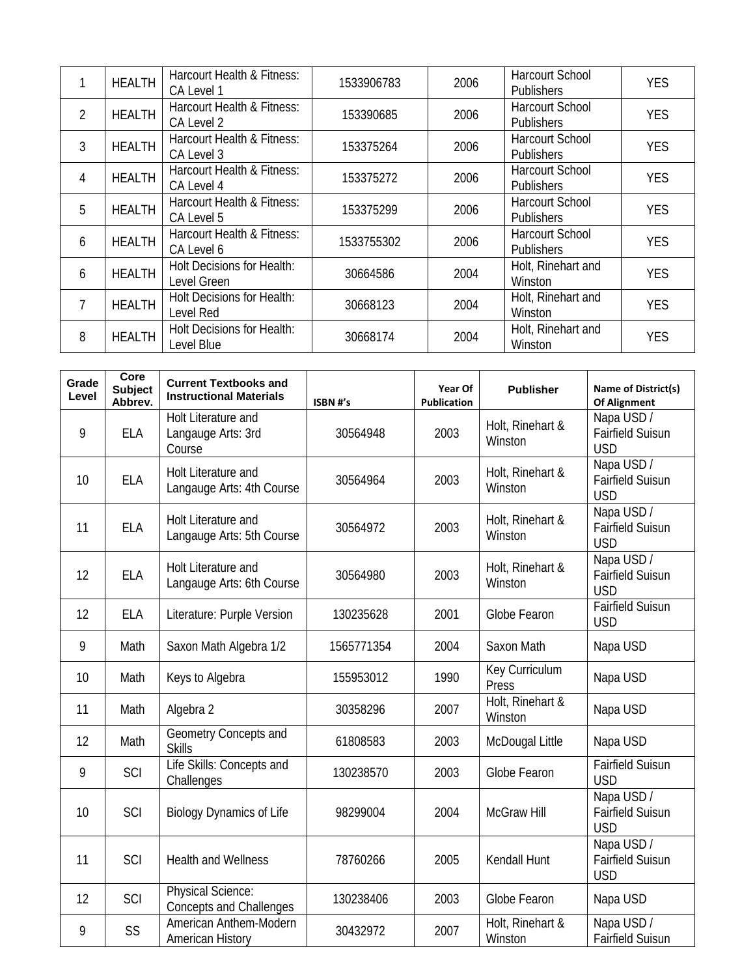|                | <b>HEALTH</b> | Harcourt Health & Fitness:<br>CA Level 1  | 1533906783 | 2006 | <b>Harcourt School</b><br><b>Publishers</b> | <b>YES</b> |
|----------------|---------------|-------------------------------------------|------------|------|---------------------------------------------|------------|
| $\overline{2}$ | <b>HEALTH</b> | Harcourt Health & Fitness:<br>CA Level 2  | 153390685  | 2006 | <b>Harcourt School</b><br><b>Publishers</b> | <b>YES</b> |
| 3              | <b>HEALTH</b> | Harcourt Health & Fitness:<br>CA Level 3  | 153375264  | 2006 | <b>Harcourt School</b><br><b>Publishers</b> | <b>YES</b> |
| $\overline{4}$ | <b>HEALTH</b> | Harcourt Health & Fitness:<br>CA Level 4  | 153375272  | 2006 | Harcourt School<br><b>Publishers</b>        | <b>YES</b> |
| 5              | <b>HEALTH</b> | Harcourt Health & Fitness:<br>CA Level 5  | 153375299  | 2006 | Harcourt School<br><b>Publishers</b>        | <b>YES</b> |
| 6              | <b>HEALTH</b> | Harcourt Health & Fitness:<br>CA Level 6  | 1533755302 | 2006 | Harcourt School<br><b>Publishers</b>        | <b>YES</b> |
| 6              | <b>HEALTH</b> | Holt Decisions for Health:<br>Level Green | 30664586   | 2004 | Holt, Rinehart and<br>Winston               | <b>YES</b> |
|                | <b>HEALTH</b> | Holt Decisions for Health:<br>Level Red   | 30668123   | 2004 | Holt, Rinehart and<br>Winston               | <b>YES</b> |
| 8              | <b>HEALTH</b> | Holt Decisions for Health:<br>Level Blue  | 30668174   | 2004 | Holt, Rinehart and<br>Winston               | <b>YES</b> |

| Grade<br>Level | Core<br><b>Subject</b><br>Abbrev. | <b>Current Textbooks and</b><br><b>Instructional Materials</b> | ISBN #'s   | Year Of<br>Publication | <b>Publisher</b>            | Name of District(s)<br><b>Of Alignment</b>          |
|----------------|-----------------------------------|----------------------------------------------------------------|------------|------------------------|-----------------------------|-----------------------------------------------------|
| 9              | <b>ELA</b>                        | Holt Literature and<br>Langauge Arts: 3rd<br>Course            | 30564948   | 2003                   | Holt, Rinehart &<br>Winston | Napa USD /<br><b>Fairfield Suisun</b><br><b>USD</b> |
| 10             | <b>ELA</b>                        | Holt Literature and<br>Langauge Arts: 4th Course               | 30564964   | 2003                   | Holt, Rinehart &<br>Winston | Napa USD /<br><b>Fairfield Suisun</b><br><b>USD</b> |
| 11             | <b>ELA</b>                        | Holt Literature and<br>Langauge Arts: 5th Course               | 30564972   | 2003                   | Holt, Rinehart &<br>Winston | Napa USD /<br><b>Fairfield Suisun</b><br><b>USD</b> |
| 12             | <b>ELA</b>                        | Holt Literature and<br>Langauge Arts: 6th Course               | 30564980   | 2003                   | Holt, Rinehart &<br>Winston | Napa USD /<br>Fairfield Suisun<br><b>USD</b>        |
| 12             | <b>ELA</b>                        | Literature: Purple Version                                     | 130235628  | 2001                   | Globe Fearon                | <b>Fairfield Suisun</b><br><b>USD</b>               |
| 9              | Math                              | Saxon Math Algebra 1/2                                         | 1565771354 | 2004                   | Saxon Math                  | Napa USD                                            |
| 10             | Math                              | Keys to Algebra                                                | 155953012  | 1990                   | Key Curriculum<br>Press     | Napa USD                                            |
| 11             | Math                              | Algebra 2                                                      | 30358296   | 2007                   | Holt, Rinehart &<br>Winston | Napa USD                                            |
| 12             | Math                              | Geometry Concepts and<br><b>Skills</b>                         | 61808583   | 2003                   | McDougal Little             | Napa USD                                            |
| 9              | SCI                               | Life Skills: Concepts and<br>Challenges                        | 130238570  | 2003                   | Globe Fearon                | <b>Fairfield Suisun</b><br><b>USD</b>               |
| 10             | SCI                               | <b>Biology Dynamics of Life</b>                                | 98299004   | 2004                   | McGraw Hill                 | Napa USD /<br><b>Fairfield Suisun</b><br><b>USD</b> |
| 11             | SCI                               | <b>Health and Wellness</b>                                     | 78760266   | 2005                   | Kendall Hunt                | Napa USD /<br>Fairfield Suisun<br><b>USD</b>        |
| 12             | SCI                               | Physical Science:<br><b>Concepts and Challenges</b>            | 130238406  | 2003                   | Globe Fearon                | Napa USD                                            |
| 9              | SS                                | American Anthem-Modern<br>American History                     | 30432972   | 2007                   | Holt, Rinehart &<br>Winston | Napa USD /<br>Fairfield Suisun                      |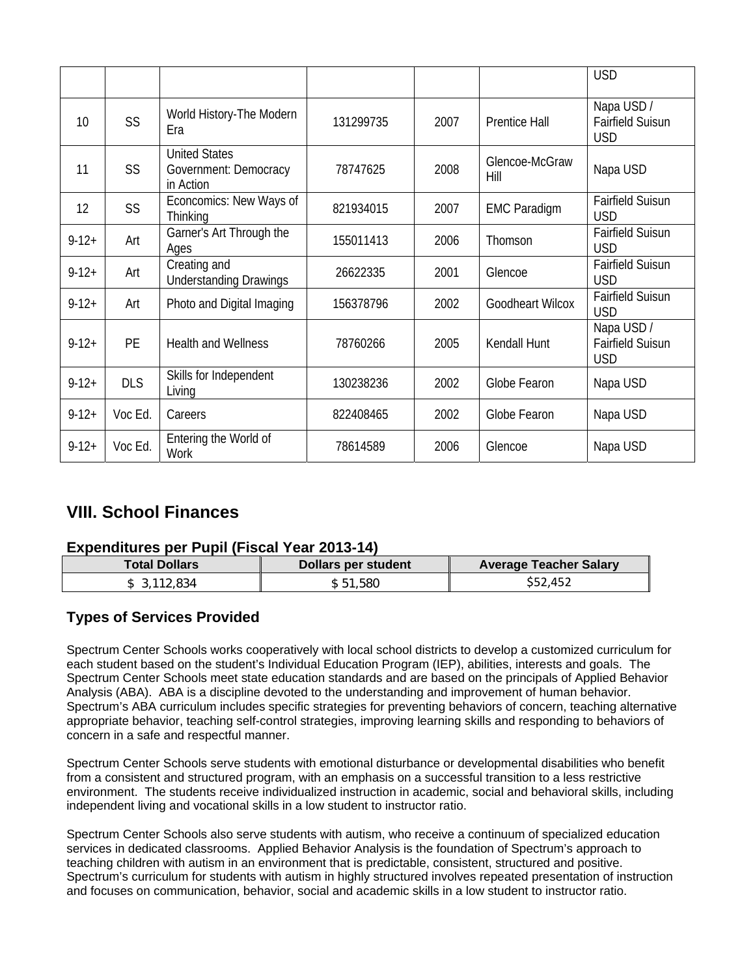|         |            |                                                            |           |      |                         | <b>USD</b>                                         |
|---------|------------|------------------------------------------------------------|-----------|------|-------------------------|----------------------------------------------------|
| 10      | <b>SS</b>  | World History-The Modern<br>Era                            | 131299735 | 2007 | <b>Prentice Hall</b>    | Napa USD/<br>Fairfield Suisun<br><b>USD</b>        |
| 11      | <b>SS</b>  | <b>United States</b><br>Government: Democracy<br>in Action | 78747625  | 2008 | Glencoe-McGraw<br>Hill  | Napa USD                                           |
| 12      | <b>SS</b>  | Econcomics: New Ways of<br>Thinking                        | 821934015 | 2007 | <b>EMC Paradigm</b>     | <b>Fairfield Suisun</b><br><b>USD</b>              |
| $9-12+$ | Art        | Garner's Art Through the<br>Ages                           | 155011413 | 2006 | Thomson                 | <b>Fairfield Suisun</b><br><b>USD</b>              |
| $9-12+$ | Art        | Creating and<br><b>Understanding Drawings</b>              | 26622335  | 2001 | Glencoe                 | <b>Fairfield Suisun</b><br><b>USD</b>              |
| $9-12+$ | Art        | Photo and Digital Imaging                                  | 156378796 | 2002 | <b>Goodheart Wilcox</b> | <b>Fairfield Suisun</b><br><b>USD</b>              |
| $9-12+$ | <b>PE</b>  | <b>Health and Wellness</b>                                 | 78760266  | 2005 | Kendall Hunt            | Napa USD/<br><b>Fairfield Suisun</b><br><b>USD</b> |
| $9-12+$ | <b>DLS</b> | Skills for Independent<br>Living                           | 130238236 | 2002 | Globe Fearon            | Napa USD                                           |
| $9-12+$ | Voc Ed.    | Careers                                                    | 822408465 | 2002 | Globe Fearon            | Napa USD                                           |
| $9-12+$ | Voc Ed.    | Entering the World of<br>Work                              | 78614589  | 2006 | Glencoe                 | Napa USD                                           |

# **VIII. School Finances**

## **Expenditures per Pupil (Fiscal Year 2013-14)**

| Total Dollars | Dollars per student | <b>Average Teacher Salary</b> |
|---------------|---------------------|-------------------------------|
| \$3.112.834   | \$51,580            | \$52,452                      |

# **Types of Services Provided**

Spectrum Center Schools works cooperatively with local school districts to develop a customized curriculum for each student based on the student's Individual Education Program (IEP), abilities, interests and goals. The Spectrum Center Schools meet state education standards and are based on the principals of Applied Behavior Analysis (ABA). ABA is a discipline devoted to the understanding and improvement of human behavior. Spectrum's ABA curriculum includes specific strategies for preventing behaviors of concern, teaching alternative appropriate behavior, teaching self-control strategies, improving learning skills and responding to behaviors of concern in a safe and respectful manner.

Spectrum Center Schools serve students with emotional disturbance or developmental disabilities who benefit from a consistent and structured program, with an emphasis on a successful transition to a less restrictive environment. The students receive individualized instruction in academic, social and behavioral skills, including independent living and vocational skills in a low student to instructor ratio.

Spectrum Center Schools also serve students with autism, who receive a continuum of specialized education services in dedicated classrooms. Applied Behavior Analysis is the foundation of Spectrum's approach to teaching children with autism in an environment that is predictable, consistent, structured and positive. Spectrum's curriculum for students with autism in highly structured involves repeated presentation of instruction and focuses on communication, behavior, social and academic skills in a low student to instructor ratio.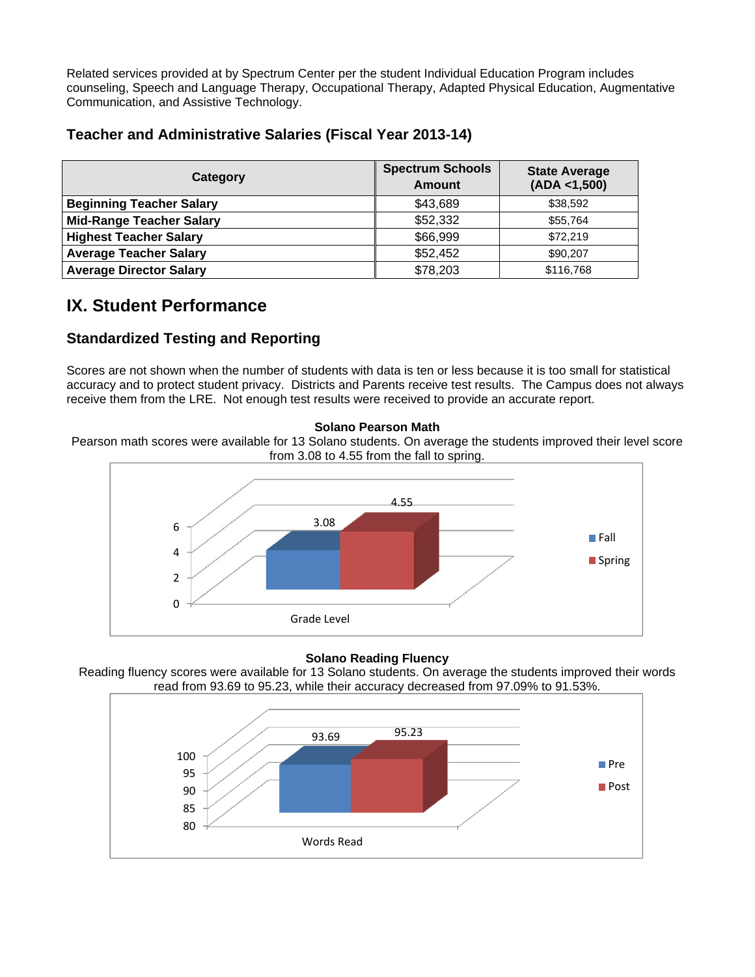Related services provided at by Spectrum Center per the student Individual Education Program includes counseling, Speech and Language Therapy, Occupational Therapy, Adapted Physical Education, Augmentative Communication, and Assistive Technology.

# **Teacher and Administrative Salaries (Fiscal Year 2013-14)**

| Category                        | <b>Spectrum Schools</b><br>Amount | <b>State Average</b><br>(ADA < 1,500) |
|---------------------------------|-----------------------------------|---------------------------------------|
| <b>Beginning Teacher Salary</b> | \$43,689                          | \$38,592                              |
| <b>Mid-Range Teacher Salary</b> | \$52,332                          | \$55.764                              |
| <b>Highest Teacher Salary</b>   | \$66,999                          | \$72.219                              |
| <b>Average Teacher Salary</b>   | \$52,452                          | \$90,207                              |
| <b>Average Director Salary</b>  | \$78,203                          | \$116,768                             |

# **IX. Student Performance**

# **Standardized Testing and Reporting**

Scores are not shown when the number of students with data is ten or less because it is too small for statistical accuracy and to protect student privacy. Districts and Parents receive test results. The Campus does not always receive them from the LRE. Not enough test results were received to provide an accurate report.

#### **Solano Pearson Math**

Pearson math scores were available for 13 Solano students. On average the students improved their level score from 3.08 to 4.55 from the fall to spring.



#### **Solano Reading Fluency**



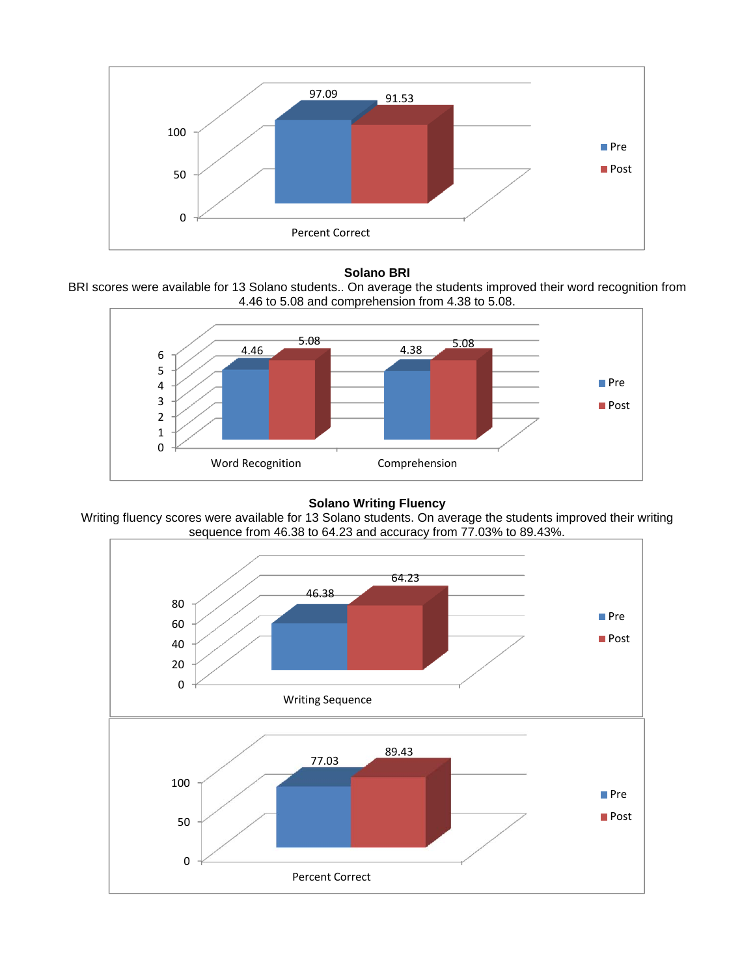

#### **Solano BRI**





#### **Solano Writing Fluency**

Writing fluency scores were available for 13 Solano students. On average the students improved their writing sequence from 46.38 to 64.23 and accuracy from 77.03% to 89.43%.

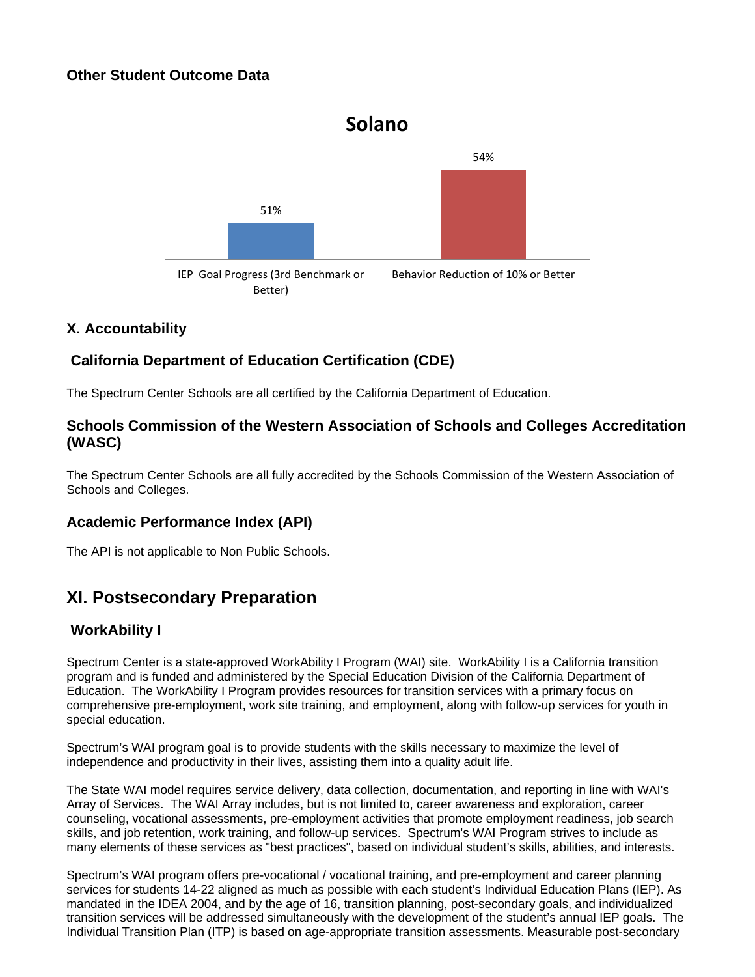# **Other Student Outcome Data**



# **X. Accountability**

# **California Department of Education Certification (CDE)**

The Spectrum Center Schools are all certified by the California Department of Education.

## **Schools Commission of the Western Association of Schools and Colleges Accreditation (WASC)**

The Spectrum Center Schools are all fully accredited by the Schools Commission of the Western Association of Schools and Colleges.

## **Academic Performance Index (API)**

The API is not applicable to Non Public Schools.

# **XI. Postsecondary Preparation**

## **WorkAbility I**

Spectrum Center is a state-approved WorkAbility I Program (WAI) site. WorkAbility I is a California transition program and is funded and administered by the Special Education Division of the California Department of Education. The WorkAbility I Program provides resources for transition services with a primary focus on comprehensive pre-employment, work site training, and employment, along with follow-up services for youth in special education.

Spectrum's WAI program goal is to provide students with the skills necessary to maximize the level of independence and productivity in their lives, assisting them into a quality adult life.

The State WAI model requires service delivery, data collection, documentation, and reporting in line with WAI's Array of Services. The WAI Array includes, but is not limited to, career awareness and exploration, career counseling, vocational assessments, pre-employment activities that promote employment readiness, job search skills, and job retention, work training, and follow-up services. Spectrum's WAI Program strives to include as many elements of these services as "best practices", based on individual student's skills, abilities, and interests.

Spectrum's WAI program offers pre-vocational / vocational training, and pre-employment and career planning services for students 14-22 aligned as much as possible with each student's Individual Education Plans (IEP). As mandated in the IDEA 2004, and by the age of 16, transition planning, post-secondary goals, and individualized transition services will be addressed simultaneously with the development of the student's annual IEP goals. The Individual Transition Plan (ITP) is based on age-appropriate transition assessments. Measurable post-secondary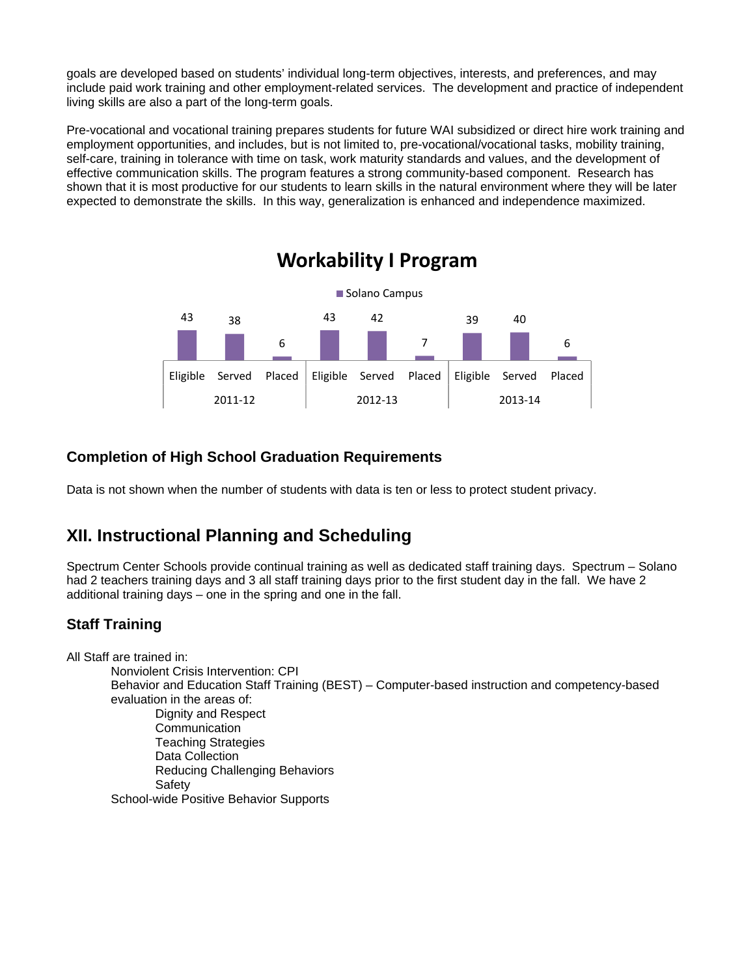goals are developed based on students' individual long-term objectives, interests, and preferences, and may include paid work training and other employment-related services. The development and practice of independent living skills are also a part of the long-term goals.

Pre-vocational and vocational training prepares students for future WAI subsidized or direct hire work training and employment opportunities, and includes, but is not limited to, pre-vocational/vocational tasks, mobility training, self-care, training in tolerance with time on task, work maturity standards and values, and the development of effective communication skills. The program features a strong community-based component. Research has shown that it is most productive for our students to learn skills in the natural environment where they will be later expected to demonstrate the skills. In this way, generalization is enhanced and independence maximized.



## **Completion of High School Graduation Requirements**

Data is not shown when the number of students with data is ten or less to protect student privacy.

# **XII. Instructional Planning and Scheduling**

Spectrum Center Schools provide continual training as well as dedicated staff training days. Spectrum – Solano had 2 teachers training days and 3 all staff training days prior to the first student day in the fall. We have 2 additional training days – one in the spring and one in the fall.

# **Staff Training**

All Staff are trained in: Nonviolent Crisis Intervention: CPI Behavior and Education Staff Training (BEST) – Computer-based instruction and competency-based evaluation in the areas of: Dignity and Respect **Communication** Teaching Strategies Data Collection Reducing Challenging Behaviors Safety School-wide Positive Behavior Supports